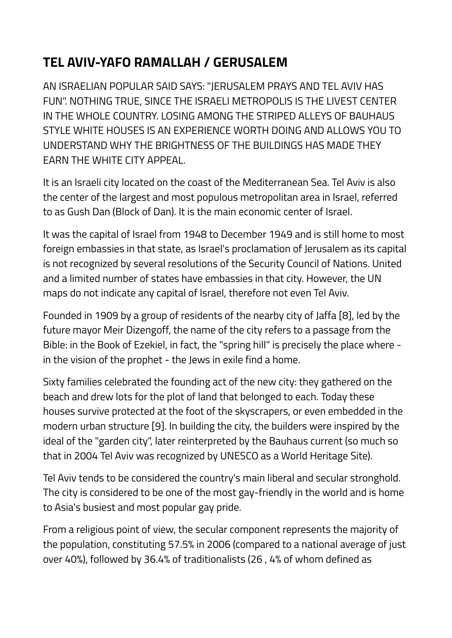## **TEL AVIV-YAFO RAMALLAH / GERUSALEM**

AN ISRAELIAN POPULAR SAID SAYS: "JERUSALEM PRAYS AND TEL AVIV HAS FUN". NOTHING TRUE, SINCE THE ISRAELI METROPOLIS IS THE LIVEST CENTER IN THE WHOLE COUNTRY. LOSING AMONG THE STRIPED ALLEYS OF BAUHAUS STYLE WHITE HOUSES IS AN EXPERIENCE WORTH DOING AND ALLOWS YOU TO UNDERSTAND WHY THE BRIGHTNESS OF THE BUILDINGS HAS MADE THEY EARN THE WHITE CITY APPEAL.

It is an Israeli city located on the coast of the Mediterranean Sea. Tel Aviv is also the center of the largest and most populous metropolitan area in Israel, referred to as Gush Dan (Block of Dan). It is the main economic center of Israel.

It was the capital of Israel from 1948 to December 1949 and is still home to most foreign embassies in that state, as Israel's proclamation of Jerusalem as its capital is not recognized by several resolutions of the Security Council of Nations. United and a limited number of states have embassies in that city. However, the UN maps do not indicate any capital of Israel, therefore not even Tel Aviv.

Founded in 1909 by a group of residents of the nearby city of Jaffa [8], led by the future mayor Meir Dizengoff, the name of the city refers to a passage from the Bible: in the Book of Ezekiel, in fact, the "spring hill" is precisely the place where in the vision of the prophet - the Jews in exile find a home.

Sixty families celebrated the founding act of the new city: they gathered on the beach and drew lots for the plot of land that belonged to each. Today these houses survive protected at the foot of the skyscrapers, or even embedded in the modern urban structure [9]. In building the city, the builders were inspired by the ideal of the "garden city", later reinterpreted by the Bauhaus current (so much so that in 2004 Tel Aviv was recognized by UNESCO as a World Heritage Site).

Tel Aviv tends to be considered the country's main liberal and secular stronghold. The city is considered to be one of the most gay-friendly in the world and is home to Asia's busiest and most popular gay pride.

From a religious point of view, the secular component represents the majority of the population, constituting 57.5% in 2006 (compared to a national average of just over 40%), followed by 36.4% of traditionalists (26 , 4% of whom defined as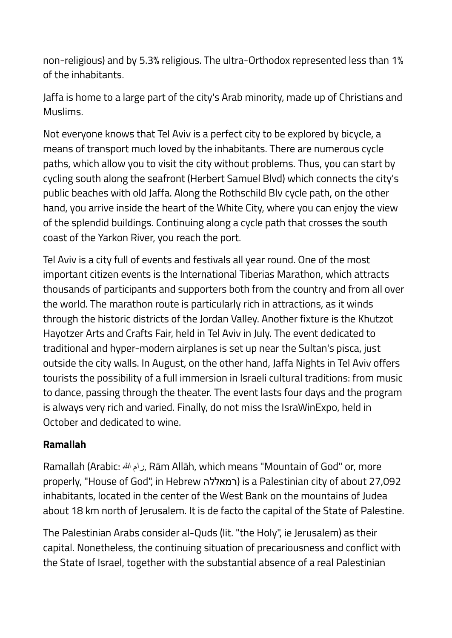non-religious) and by 5.3% religious. The ultra-Orthodox represented less than 1% of the inhabitants.

Jaffa is home to a large part of the city's Arab minority, made up of Christians and Muslims.

Not everyone knows that Tel Aviv is a perfect city to be explored by bicycle, a means of transport much loved by the inhabitants. There are numerous cycle paths, which allow you to visit the city without problems. Thus, you can start by cycling south along the seafront (Herbert Samuel Blvd) which connects the city's public beaches with old Jaffa. Along the Rothschild Blv cycle path, on the other hand, you arrive inside the heart of the White City, where you can enjoy the view of the splendid buildings. Continuing along a cycle path that crosses the south coast of the Yarkon River, you reach the port.

Tel Aviv is a city full of events and festivals all year round. One of the most important citizen events is the International Tiberias Marathon, which attracts thousands of participants and supporters both from the country and from all over the world. The marathon route is particularly rich in attractions, as it winds through the historic districts of the Jordan Valley. Another fixture is the Khutzot Hayotzer Arts and Crafts Fair, held in Tel Aviv in July. The event dedicated to traditional and hyper-modern airplanes is set up near the Sultan's pisca, just outside the city walls. In August, on the other hand, Jaffa Nights in Tel Aviv offers tourists the possibility of a full immersion in Israeli cultural traditions: from music to dance, passing through the theater. The event lasts four days and the program is always very rich and varied. Finally, do not miss the IsraWinExpo, held in October and dedicated to wine.

## **Ramallah**

Ramallah (Arabic: هللا رام, Rām Allāh, which means "Mountain of God" or, more properly, "House of God", in Hebrew רמאללה (is a Palestinian city of about 27,092 inhabitants, located in the center of the West Bank on the mountains of Judea about 18 km north of Jerusalem. It is de facto the capital of the State of Palestine.

The Palestinian Arabs consider al-Quds (lit. "the Holy", ie Jerusalem) as their capital. Nonetheless, the continuing situation of precariousness and conflict with the State of Israel, together with the substantial absence of a real Palestinian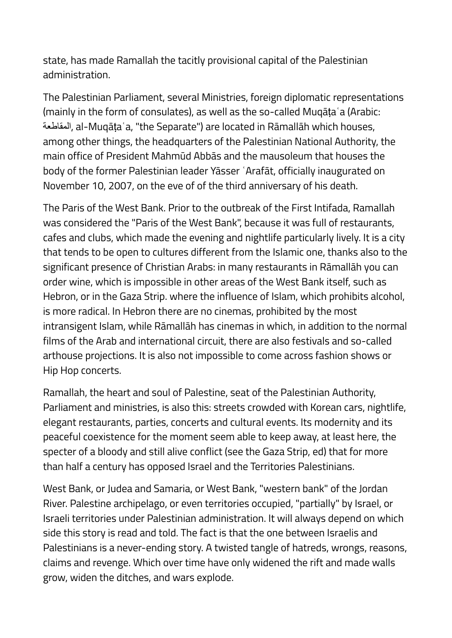state, has made Ramallah the tacitly provisional capital of the Palestinian administration.

The Palestinian Parliament, several Ministries, foreign diplomatic representations (mainly in the form of consulates), as well as the so-called Muqāṭaʿa (Arabic: المقاطعة, al-Muqāṭaʿa, "the Separate") are located in Rāmallāh which houses, among other things, the headquarters of the Palestinian National Authority, the main office of President Mahmūd Abbās and the mausoleum that houses the body of the former Palestinian leader Yāsser ʿArafāt, officially inaugurated on November 10, 2007, on the eve of of the third anniversary of his death.

The Paris of the West Bank. Prior to the outbreak of the First Intifada, Ramallah was considered the "Paris of the West Bank", because it was full of restaurants, cafes and clubs, which made the evening and nightlife particularly lively. It is a city that tends to be open to cultures different from the Islamic one, thanks also to the significant presence of Christian Arabs: in many restaurants in Rāmallāh you can order wine, which is impossible in other areas of the West Bank itself, such as Hebron, or in the Gaza Strip. where the influence of Islam, which prohibits alcohol, is more radical. In Hebron there are no cinemas, prohibited by the most intransigent Islam, while Rāmallāh has cinemas in which, in addition to the normal films of the Arab and international circuit, there are also festivals and so-called arthouse projections. It is also not impossible to come across fashion shows or Hip Hop concerts.

Ramallah, the heart and soul of Palestine, seat of the Palestinian Authority, Parliament and ministries, is also this: streets crowded with Korean cars, nightlife, elegant restaurants, parties, concerts and cultural events. Its modernity and its peaceful coexistence for the moment seem able to keep away, at least here, the specter of a bloody and still alive conflict (see the Gaza Strip, ed) that for more than half a century has opposed Israel and the Territories Palestinians.

West Bank, or Judea and Samaria, or West Bank, "western bank" of the Jordan River. Palestine archipelago, or even territories occupied, "partially" by Israel, or Israeli territories under Palestinian administration. It will always depend on which side this story is read and told. The fact is that the one between Israelis and Palestinians is a never-ending story. A twisted tangle of hatreds, wrongs, reasons, claims and revenge. Which over time have only widened the rift and made walls grow, widen the ditches, and wars explode.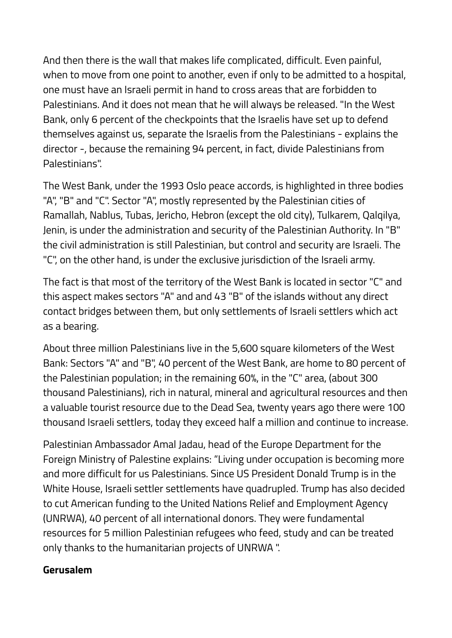And then there is the wall that makes life complicated, difficult. Even painful, when to move from one point to another, even if only to be admitted to a hospital, one must have an Israeli permit in hand to cross areas that are forbidden to Palestinians. And it does not mean that he will always be released. "In the West Bank, only 6 percent of the checkpoints that the Israelis have set up to defend themselves against us, separate the Israelis from the Palestinians - explains the director -, because the remaining 94 percent, in fact, divide Palestinians from Palestinians".

The West Bank, under the 1993 Oslo peace accords, is highlighted in three bodies "A", "B" and "C". Sector "A", mostly represented by the Palestinian cities of Ramallah, Nablus, Tubas, Jericho, Hebron (except the old city), Tulkarem, Qalqilya, Jenin, is under the administration and security of the Palestinian Authority. In "B" the civil administration is still Palestinian, but control and security are Israeli. The "C", on the other hand, is under the exclusive jurisdiction of the Israeli army.

The fact is that most of the territory of the West Bank is located in sector "C" and this aspect makes sectors "A" and and 43 "B" of the islands without any direct contact bridges between them, but only settlements of Israeli settlers which act as a bearing.

About three million Palestinians live in the 5,600 square kilometers of the West Bank: Sectors "A" and "B", 40 percent of the West Bank, are home to 80 percent of the Palestinian population; in the remaining 60%, in the "C" area, (about 300 thousand Palestinians), rich in natural, mineral and agricultural resources and then a valuable tourist resource due to the Dead Sea, twenty years ago there were 100 thousand Israeli settlers, today they exceed half a million and continue to increase.

Palestinian Ambassador Amal Jadau, head of the Europe Department for the Foreign Ministry of Palestine explains: "Living under occupation is becoming more and more difficult for us Palestinians. Since US President Donald Trump is in the White House, Israeli settler settlements have quadrupled. Trump has also decided to cut American funding to the United Nations Relief and Employment Agency (UNRWA), 40 percent of all international donors. They were fundamental resources for 5 million Palestinian refugees who feed, study and can be treated only thanks to the humanitarian projects of UNRWA ".

## **Gerusalem**